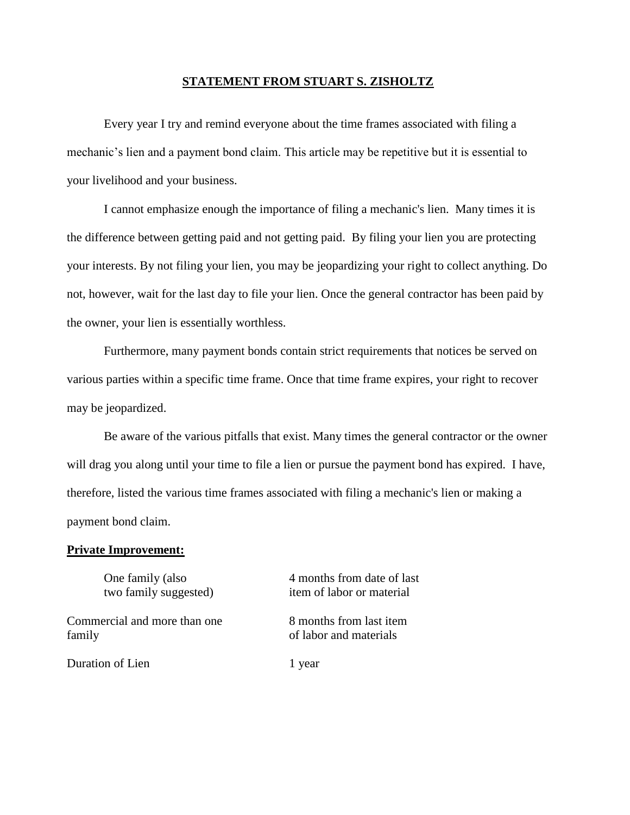## **STATEMENT FROM STUART S. ZISHOLTZ**

Every year I try and remind everyone about the time frames associated with filing a mechanic's lien and a payment bond claim. This article may be repetitive but it is essential to your livelihood and your business.

I cannot emphasize enough the importance of filing a mechanic's lien. Many times it is the difference between getting paid and not getting paid. By filing your lien you are protecting your interests. By not filing your lien, you may be jeopardizing your right to collect anything. Do not, however, wait for the last day to file your lien. Once the general contractor has been paid by the owner, your lien is essentially worthless.

Furthermore, many payment bonds contain strict requirements that notices be served on various parties within a specific time frame. Once that time frame expires, your right to recover may be jeopardized.

Be aware of the various pitfalls that exist. Many times the general contractor or the owner will drag you along until your time to file a lien or pursue the payment bond has expired. I have, therefore, listed the various time frames associated with filing a mechanic's lien or making a payment bond claim.

## **Private Improvement:**

One family (also 4 months from date of last two family suggested) item of labor or material Commercial and more than one 8 months from last item family family of labor and materials Duration of Lien 1 year